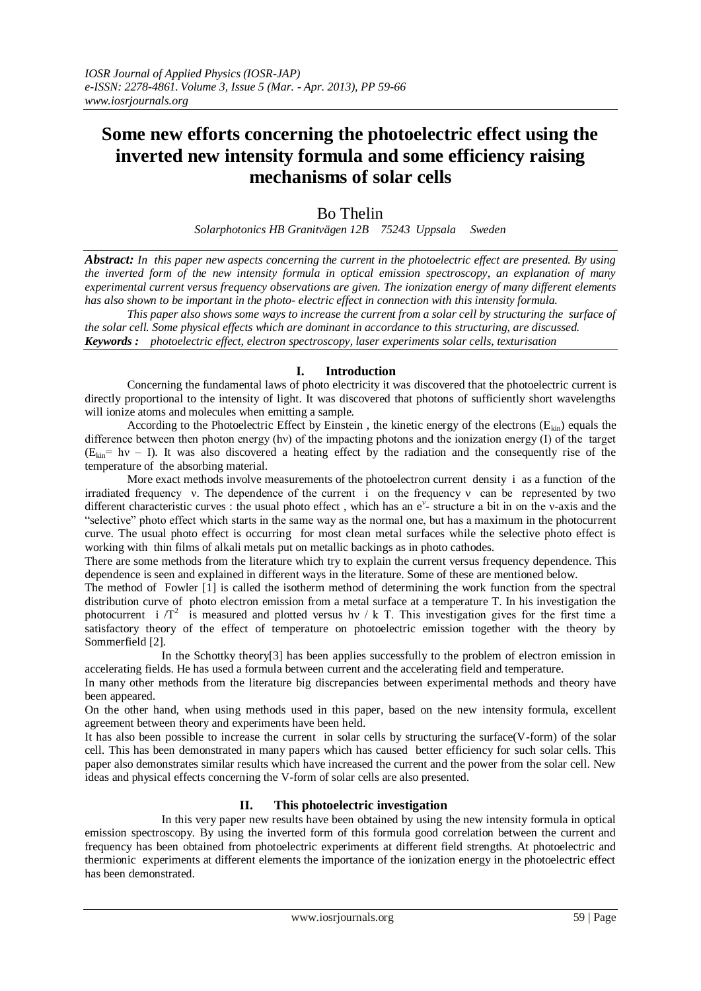# **Some new efforts concerning the photoelectric effect using the inverted new intensity formula and some efficiency raising mechanisms of solar cells**

## Bo Thelin

*Solarphotonics HB Granitvägen 12B 75243 Uppsala Sweden*

*Abstract: In this paper new aspects concerning the current in the photoelectric effect are presented. By using the inverted form of the new intensity formula in optical emission spectroscopy, an explanation of many experimental current versus frequency observations are given. The ionization energy of many different elements has also shown to be important in the photo- electric effect in connection with this intensity formula.*

*This paper also shows some ways to increase the current from a solar cell by structuring the surface of the solar cell. Some physical effects which are dominant in accordance to this structuring, are discussed. Keywords : photoelectric effect, electron spectroscopy, laser experiments solar cells, texturisation*

## **I. Introduction**

Concerning the fundamental laws of photo electricity it was discovered that the photoelectric current is directly proportional to the intensity of light. It was discovered that photons of sufficiently short wavelengths will ionize atoms and molecules when emitting a sample.

According to the Photoelectric Effect by Einstein, the kinetic energy of the electrons  $(E_{kin})$  equals the difference between then photon energy (hν) of the impacting photons and the ionization energy (I) of the target  $(E_{kin} = hv - I)$ . It was also discovered a heating effect by the radiation and the consequently rise of the temperature of the absorbing material.

More exact methods involve measurements of the photoelectron current density i as a function of the irradiated frequency *v*. The dependence of the current i on the frequency *v* can be represented by two different characteristic curves : the usual photo effect, which has an e<sup>y</sup>-structure a bit in on the v-axis and the "selective" photo effect which starts in the same way as the normal one, but has a maximum in the photocurrent curve. The usual photo effect is occurring for most clean metal surfaces while the selective photo effect is working with thin films of alkali metals put on metallic backings as in photo cathodes.

There are some methods from the literature which try to explain the current versus frequency dependence. This dependence is seen and explained in different ways in the literature. Some of these are mentioned below.

The method of Fowler [1] is called the isotherm method of determining the work function from the spectral distribution curve of photo electron emission from a metal surface at a temperature T. In his investigation the photocurrent i  $/T^2$  is measured and plotted versus hy / k T. This investigation gives for the first time a satisfactory theory of the effect of temperature on photoelectric emission together with the theory by Sommerfield [2].

In the Schottky theory[3] has been applies successfully to the problem of electron emission in accelerating fields. He has used a formula between current and the accelerating field and temperature.

In many other methods from the literature big discrepancies between experimental methods and theory have been appeared.

On the other hand, when using methods used in this paper, based on the new intensity formula, excellent agreement between theory and experiments have been held.

It has also been possible to increase the current in solar cells by structuring the surface(V-form) of the solar cell. This has been demonstrated in many papers which has caused better efficiency for such solar cells. This paper also demonstrates similar results which have increased the current and the power from the solar cell. New ideas and physical effects concerning the V-form of solar cells are also presented.

## **II. This photoelectric investigation**

In this very paper new results have been obtained by using the new intensity formula in optical emission spectroscopy. By using the inverted form of this formula good correlation between the current and frequency has been obtained from photoelectric experiments at different field strengths. At photoelectric and thermionic experiments at different elements the importance of the ionization energy in the photoelectric effect has been demonstrated.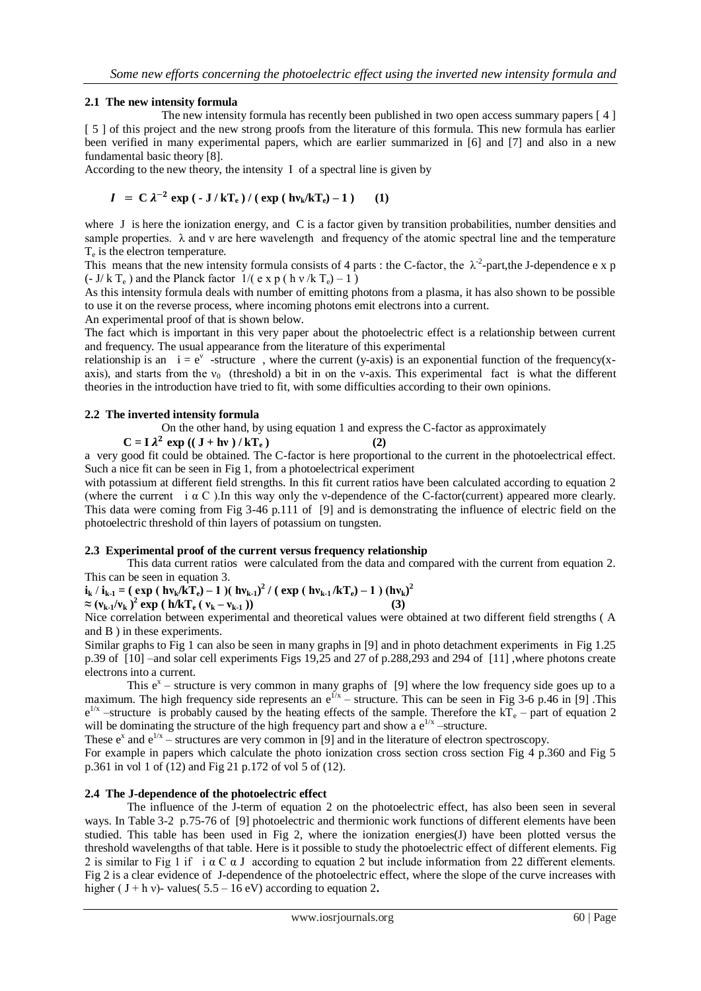#### **2.1 The new intensity formula**

The new intensity formula has recently been published in two open access summary papers [4] [ 5 ] of this project and the new strong proofs from the literature of this formula. This new formula has earlier been verified in many experimental papers, which are earlier summarized in [6] and [7] and also in a new fundamental basic theory [8].

According to the new theory, the intensity I of a spectral line is given by

$$
I = C \lambda^{-2} \exp \left(-J/kT_e\right) / \left(\exp \left(\frac{h v_k}{kT_e}\right) - 1\right) \tag{1}
$$

where J is here the ionization energy, and C is a factor given by transition probabilities, number densities and sample properties.  $\lambda$  and v are here wavelength and frequency of the atomic spectral line and the temperature T<sub>e</sub> is the electron temperature.

This means that the new intensity formula consists of 4 parts : the C-factor, the  $\lambda^2$ -part, the J-dependence e x p (- J/ k T<sub>e</sub>) and the Planck factor  $1/(\text{e} \times \text{p} (\text{h} \text{v}/\text{k} \text{T}_e) - 1)$ 

As this intensity formula deals with number of emitting photons from a plasma, it has also shown to be possible to use it on the reverse process, where incoming photons emit electrons into a current.

An experimental proof of that is shown below.

The fact which is important in this very paper about the photoelectric effect is a relationship between current and frequency. The usual appearance from the literature of this experimental

relationship is an  $i = e^v$  -structure, where the current (y-axis) is an exponential function of the frequency(xaxis), and starts from the  $v_0$  (threshold) a bit in on the v-axis. This experimental fact is what the different theories in the introduction have tried to fit, with some difficulties according to their own opinions.

#### **2.2 The inverted intensity formula**

On the other hand, by using equation 1 and express the C-factor as approximately

 $C = I \lambda^2 \exp((J + hv)/kT_e)$  (2)

a very good fit could be obtained. The C-factor is here proportional to the current in the photoelectrical effect. Such a nice fit can be seen in Fig 1, from a photoelectrical experiment

with potassium at different field strengths. In this fit current ratios have been calculated according to equation 2 (where the current i  $\alpha$  C ). In this way only the v-dependence of the C-factor(current) appeared more clearly. This data were coming from Fig 3-46 p.111 of [9] and is demonstrating the influence of electric field on the photoelectric threshold of thin layers of potassium on tungsten.

#### **2.3 Experimental proof of the current versus frequency relationship**

This data current ratios were calculated from the data and compared with the current from equation 2. This can be seen in equation 3.

 $i_k / i_{k-1} = (exp (hv_k / kT_e) - 1) (hv_{k-1})^2 / (exp (hv_{k-1} / kT_e) - 1) (hv_k)^2$  $\approx (v_{k-1}/v_k)^2 \exp (h/kT_e (v_k - v_{k-1}))$  (3)

Nice correlation between experimental and theoretical values were obtained at two different field strengths ( A and B ) in these experiments.

Similar graphs to Fig 1 can also be seen in many graphs in [9] and in photo detachment experiments in Fig 1.25 p.39 of [10] –and solar cell experiments Figs 19,25 and 27 of p.288,293 and 294 of [11] ,where photons create electrons into a current.

This  $e^x$  – structure is very common in many graphs of [9] where the low frequency side goes up to a maximum. The high frequency side represents an  $e^{1/x}$  – structure. This can be seen in Fig 3-6 p.46 in [9]. This  $e^{1/x}$  –structure is probably caused by the heating effects of the sample. Therefore the  $kT_e$  – part of equation 2 will be dominating the structure of the high frequency part and show a  $e^{1/x}$  -structure.

These  $e^x$  and  $e^{1/x}$  – structures are very common in [9] and in the literature of electron spectroscopy.

For example in papers which calculate the photo ionization cross section cross section Fig 4 p.360 and Fig 5 p.361 in vol 1 of (12) and Fig 21 p.172 of vol 5 of (12).

#### **2.4 The J-dependence of the photoelectric effect**

The influence of the J-term of equation 2 on the photoelectric effect, has also been seen in several ways. In Table 3-2 p.75-76 of [9] photoelectric and thermionic work functions of different elements have been studied. This table has been used in Fig 2, where the ionization energies(J) have been plotted versus the threshold wavelengths of that table. Here is it possible to study the photoelectric effect of different elements. Fig 2 is similar to Fig 1 if  $i \alpha \in \alpha$  J according to equation 2 but include information from 22 different elements. Fig 2 is a clear evidence of J-dependence of the photoelectric effect, where the slope of the curve increases with higher ( $J + h v$ )-values( $5.5 - 16$  eV) according to equation 2.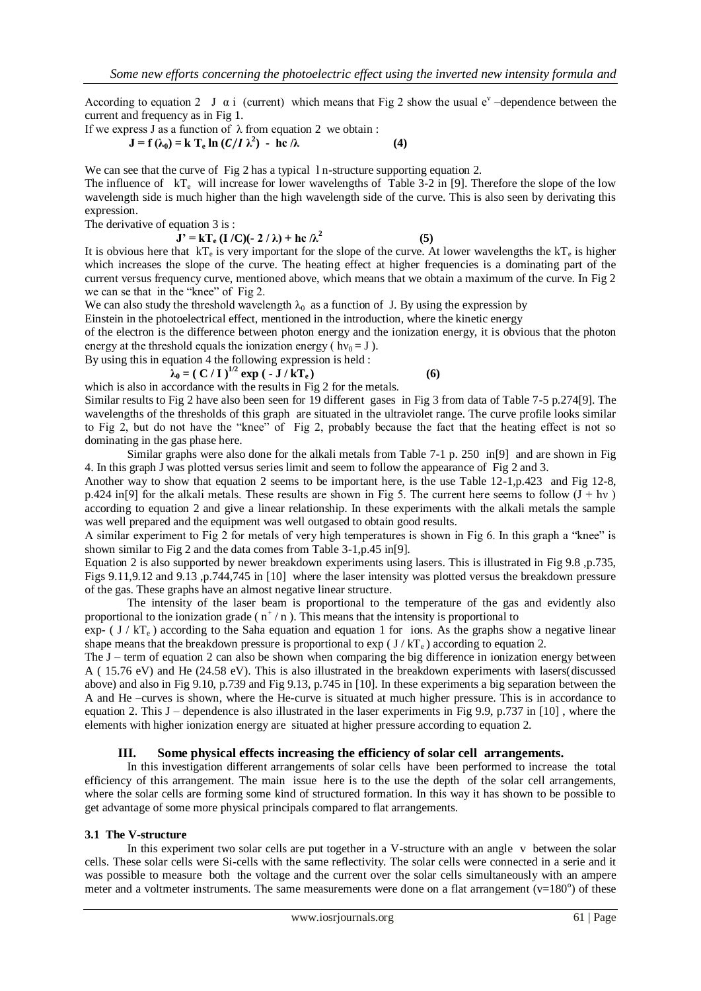According to equation 2 J  $\alpha$  i (current) which means that Fig 2 show the usual e<sup>v</sup> -dependence between the current and frequency as in Fig 1.

If we express J as a function of  $\lambda$  from equation 2 we obtain :  **J** = **f** ( $\lambda_0$ ) = **k** T<sub>**e</sub> ln (** $C/I \lambda^2$ **) - hc**  $\lambda$  **(4)</sub>** 

We can see that the curve of Fig 2 has a typical 1 n-structure supporting equation 2. The influence of  $kT_e$  will increase for lower wavelengths of Table 3-2 in [9]. Therefore the slope of the low wavelength side is much higher than the high wavelength side of the curve. This is also seen by derivating this expression.

The derivative of equation 3 is :

 $J' = kT_e (I/C)(-2/\lambda) + hc/\lambda^2$ 

It is obvious here that  $kT_e$  is very important for the slope of the curve. At lower wavelengths the  $kT_e$  is higher which increases the slope of the curve. The heating effect at higher frequencies is a dominating part of the current versus frequency curve, mentioned above, which means that we obtain a maximum of the curve. In Fig 2 we can se that in the "knee" of Fig 2.

We can also study the threshold wavelength  $\lambda_0$  as a function of J. By using the expression by

Einstein in the photoelectrical effect, mentioned in the introduction, where the kinetic energy

of the electron is the difference between photon energy and the ionization energy, it is obvious that the photon energy at the threshold equals the ionization energy ( $hv_0 = J$ ).

By using this in equation 4 the following expression is held :

**λ**<sub>0</sub> = ( C / I )<sup>1/2</sup> **exp** ( - **J** / kT<sub>**e**</sub>) (6)

 **(5)**

which is also in accordance with the results in Fig 2 for the metals. Similar results to Fig 2 have also been seen for 19 different gases in Fig 3 from data of Table 7-5 p.274[9]. The

wavelengths of the thresholds of this graph are situated in the ultraviolet range. The curve profile looks similar to Fig 2, but do not have the "knee" of Fig 2, probably because the fact that the heating effect is not so dominating in the gas phase here.

Similar graphs were also done for the alkali metals from Table 7-1 p. 250 in[9] and are shown in Fig 4. In this graph J was plotted versus series limit and seem to follow the appearance of Fig 2 and 3.

Another way to show that equation 2 seems to be important here, is the use Table 12-1,p.423 and Fig 12-8, p.424 in[9] for the alkali metals. These results are shown in Fig 5. The current here seems to follow  $(J + hv)$ according to equation 2 and give a linear relationship. In these experiments with the alkali metals the sample was well prepared and the equipment was well outgased to obtain good results.

A similar experiment to Fig 2 for metals of very high temperatures is shown in Fig 6. In this graph a "knee" is shown similar to Fig 2 and the data comes from Table 3-1,p.45 in[9].

Equation 2 is also supported by newer breakdown experiments using lasers. This is illustrated in Fig 9.8 ,p.735, Figs 9.11,9.12 and 9.13 ,p.744,745 in [10] where the laser intensity was plotted versus the breakdown pressure of the gas. These graphs have an almost negative linear structure.

The intensity of the laser beam is proportional to the temperature of the gas and evidently also proportional to the ionization grade ( $n^+/n$ ). This means that the intensity is proportional to

exp- (  $J / kT_e$ ) according to the Saha equation and equation 1 for ions. As the graphs show a negative linear shape means that the breakdown pressure is proportional to  $\exp(\frac{J}{KT_e})$  according to equation 2.

The  $J$  – term of equation 2 can also be shown when comparing the big difference in ionization energy between A ( 15.76 eV) and He (24.58 eV). This is also illustrated in the breakdown experiments with lasers(discussed above) and also in Fig 9.10, p.739 and Fig 9.13, p.745 in [10]. In these experiments a big separation between the A and He –curves is shown, where the He-curve is situated at much higher pressure. This is in accordance to equation 2. This J – dependence is also illustrated in the laser experiments in Fig 9.9, p.737 in [10] , where the elements with higher ionization energy are situated at higher pressure according to equation 2.

## **III. Some physical effects increasing the efficiency of solar cell arrangements.**

In this investigation different arrangements of solar cells have been performed to increase the total efficiency of this arrangement. The main issue here is to the use the depth of the solar cell arrangements, where the solar cells are forming some kind of structured formation. In this way it has shown to be possible to get advantage of some more physical principals compared to flat arrangements.

#### **3.1 The V-structure**

In this experiment two solar cells are put together in a V-structure with an angle v between the solar cells. These solar cells were Si-cells with the same reflectivity. The solar cells were connected in a serie and it was possible to measure both the voltage and the current over the solar cells simultaneously with an ampere meter and a voltmeter instruments. The same measurements were done on a flat arrangement  $(v=180^{\circ})$  of these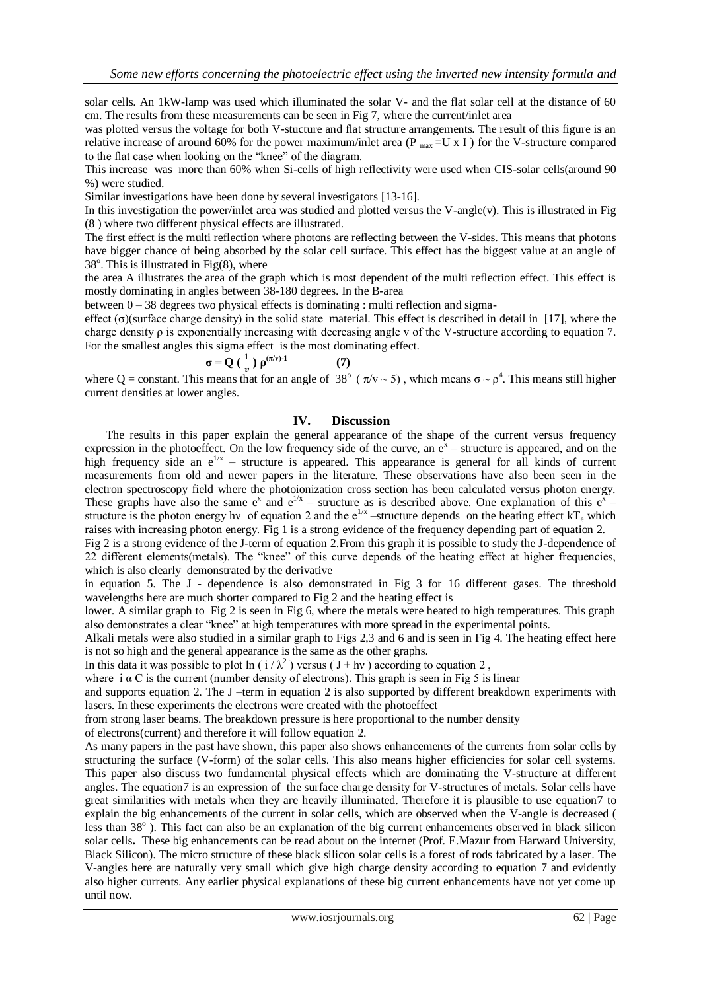solar cells. An 1kW-lamp was used which illuminated the solar V- and the flat solar cell at the distance of 60 cm. The results from these measurements can be seen in Fig 7, where the current/inlet area

was plotted versus the voltage for both V-stucture and flat structure arrangements. The result of this figure is an relative increase of around 60% for the power maximum/inlet area (P  $_{\text{max}}$  =U x I ) for the V-structure compared to the flat case when looking on the "knee" of the diagram.

This increase was more than 60% when Si-cells of high reflectivity were used when CIS-solar cells(around 90 %) were studied.

Similar investigations have been done by several investigators [13-16].

In this investigation the power/inlet area was studied and plotted versus the V-angle(v). This is illustrated in Fig (8 ) where two different physical effects are illustrated.

The first effect is the multi reflection where photons are reflecting between the V-sides. This means that photons have bigger chance of being absorbed by the solar cell surface. This effect has the biggest value at an angle of  $38^\circ$ . This is illustrated in Fig $(8)$ , where

the area A illustrates the area of the graph which is most dependent of the multi reflection effect. This effect is mostly dominating in angles between 38-180 degrees. In the B-area

between 0 – 38 degrees two physical effects is dominating : multi reflection and sigma-

effect ( $\sigma$ )(surface charge density) in the solid state material. This effect is described in detail in [17], where the charge density  $\rho$  is exponentially increasing with decreasing angle v of the V-structure according to equation 7. For the smallest angles this sigma effect is the most dominating effect.

$$
\sigma = Q\left(\frac{1}{v}\right)\rho^{(\pi/v)-1} \tag{7}
$$

where Q = constant. This means that for an angle of 38° ( $\pi$ /v ~ 5), which means  $\sigma \sim \rho^4$ . This means still higher current densities at lower angles.

#### **IV. Discussion**

The results in this paper explain the general appearance of the shape of the current versus frequency expression in the photoeffect. On the low frequency side of the curve, an  $e^x$  – structure is appeared, and on the high frequency side an  $e^{1/x}$  – structure is appeared. This appearance is general for all kinds of current measurements from old and newer papers in the literature. These observations have also been seen in the electron spectroscopy field where the photoionization cross section has been calculated versus photon energy. These graphs have also the same  $e^x$  and  $e^{1/x}$  – structure as is described above. One explanation of this  $e^{\tilde{x}}$  – structure is the photon energy hv of equation 2 and the  $e^{1/x}$  -structure depends on the heating effect  $kT_e$  which raises with increasing photon energy. Fig 1 is a strong evidence of the frequency depending part of equation 2.

Fig 2 is a strong evidence of the J-term of equation 2.From this graph it is possible to study the J-dependence of 22 different elements(metals). The "knee" of this curve depends of the heating effect at higher frequencies, which is also clearly demonstrated by the derivative

in equation 5. The J - dependence is also demonstrated in Fig 3 for 16 different gases. The threshold wavelengths here are much shorter compared to Fig 2 and the heating effect is

lower. A similar graph to Fig 2 is seen in Fig 6, where the metals were heated to high temperatures. This graph also demonstrates a clear "knee" at high temperatures with more spread in the experimental points.

Alkali metals were also studied in a similar graph to Figs 2,3 and 6 and is seen in Fig 4. The heating effect here is not so high and the general appearance is the same as the other graphs.

In this data it was possible to plot  $\ln(i/\lambda^2)$  versus (J + hv) according to equation 2,

where  $\overline{i}$   $\alpha$  C is the current (number density of electrons). This graph is seen in Fig 5 is linear

and supports equation 2. The J –term in equation 2 is also supported by different breakdown experiments with lasers. In these experiments the electrons were created with the photoeffect

from strong laser beams. The breakdown pressure is here proportional to the number density

of electrons(current) and therefore it will follow equation 2.

As many papers in the past have shown, this paper also shows enhancements of the currents from solar cells by structuring the surface (V-form) of the solar cells. This also means higher efficiencies for solar cell systems. This paper also discuss two fundamental physical effects which are dominating the V-structure at different angles. The equation7 is an expression of the surface charge density for V-structures of metals. Solar cells have great similarities with metals when they are heavily illuminated. Therefore it is plausible to use equation7 to explain the big enhancements of the current in solar cells, which are observed when the V-angle is decreased ( less than 38°). This fact can also be an explanation of the big current enhancements observed in black silicon solar cells**.** These big enhancements can be read about on the internet (Prof. E.Mazur from Harward University, Black Silicon). The micro structure of these black silicon solar cells is a forest of rods fabricated by a laser. The V-angles here are naturally very small which give high charge density according to equation 7 and evidently also higher currents. Any earlier physical explanations of these big current enhancements have not yet come up until now.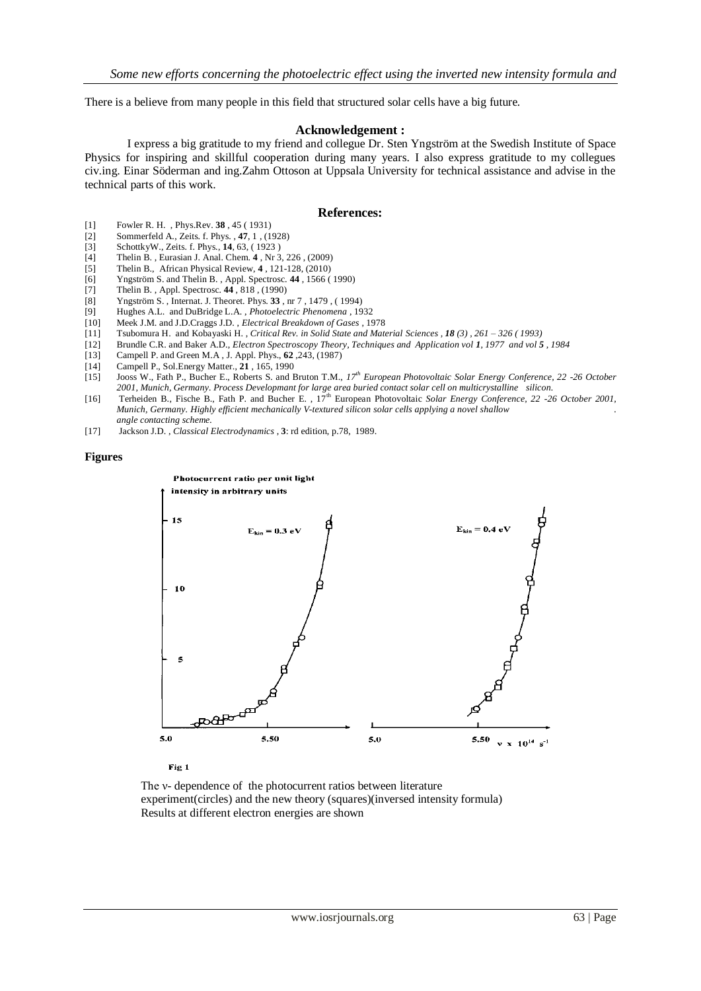There is a believe from many people in this field that structured solar cells have a big future.

#### **Acknowledgement :**

I express a big gratitude to my friend and collegue Dr. Sten Yngström at the Swedish Institute of Space Physics for inspiring and skillful cooperation during many years. I also express gratitude to my collegues civ.ing. Einar Söderman and ing.Zahm Ottoson at Uppsala University for technical assistance and advise in the technical parts of this work.

#### **References:**

- [1] Fowler R. H. , Phys.Rev. **38** , 45 ( 1931)
- [2] Sommerfeld A., Zeits. f. Phys. , **47**, 1 , (1928)
- [3] SchottkyW., Zeits. f. Phys., **14**, 63, ( 1923 )
- [4] Thelin B. , Eurasian J. Anal. Chem. **4** , Nr 3, 226 , (2009)
- [5] Thelin B., African Physical Review, **4** , 121-128, (2010)
- [6] Yngström S. and Thelin B. , Appl. Spectrosc. **44** , 1566 ( 1990)
- [7] Thelin B., Appl. Spectrosc. **44**, 818, (1990)<br>[8] Yngström S., Internat. J. Theoret. Phys. **33**,
- [8] Yngström S. , Internat. J. Theoret. Phys. **33** , nr 7 , 1479 , ( 1994)
- [9] Hughes A.L. and DuBridge L.A. , *Photoelectric Phenomena* , 1932
- [10] Meek J.M. and J.D.Craggs J.D. , *Electrical Breakdown of Gases* , 1978
- [11] Tsubomura H. and Kobayaski H. , *Critical Rev. in Solid State and Material Sciences , 18 (3) , 261 – 326 ( 1993)*
- [12] Brundle C.R. and Baker A.D., *Electron Spectroscopy Theory, Techniques and Application vol 1, 1977 and vol 5 , 1984*
- [13] Campell P. and Green M.A , J. Appl. Phys., **62** ,243, (1987)
- [14] Campell P., Sol.Energy Matter., **21** , 165, 1990
- [15] Jooss W., Fath P., Bucher E., Roberts S. and Bruton T.M., *17th European Photovoltaic Solar Energy Conference, 22 -26 October 2001, Munich, Germany. Process Developmant for large area buried contact solar cell on multicrystalline silicon.*
- [16] Terheiden B., Fische B., Fath P. and Bucher E. , 17th European Photovoltaic *Solar Energy Conference, 22 -26 October 2001, Munich, Germany. Highly efficient mechanically V-textured silicon solar cells applying a novel shallow . angle contacting scheme.*
- [17] Jackson J.D. , *Classical Electrodynamics* , **3**: rd edition, p.78, 1989.

#### **Figures**



Fig 1

The *v*- dependence of the photocurrent ratios between literature experiment(circles) and the new theory (squares)(inversed intensity formula) Results at different electron energies are shown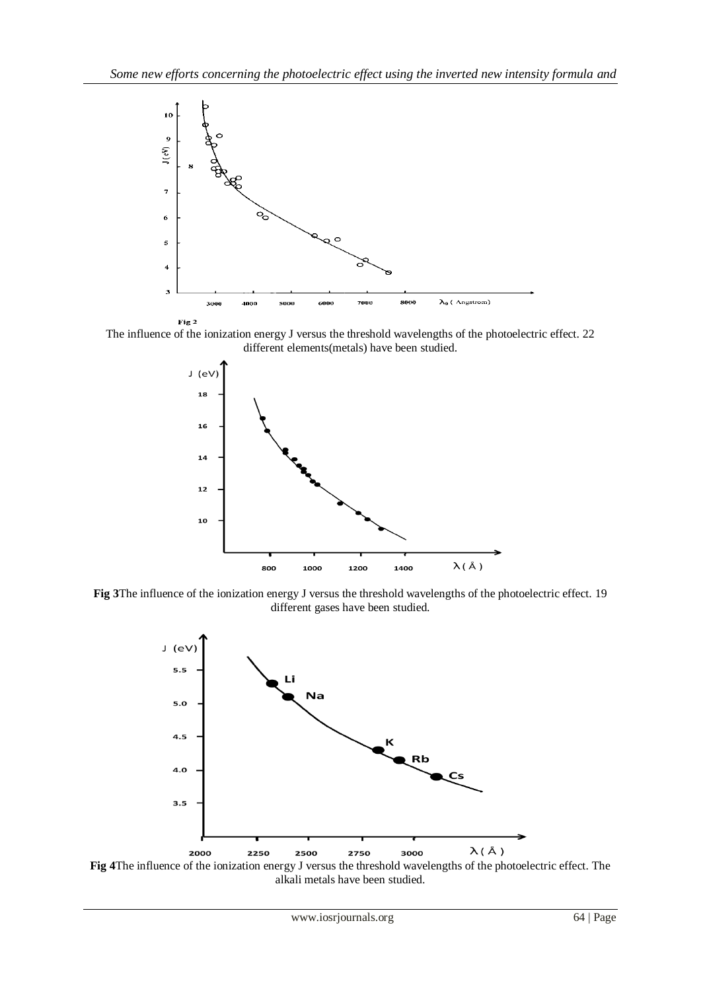

The influence of the ionization energy J versus the threshold wavelengths of the photoelectric effect. 22 different elements(metals) have been studied.



**Fig 3**The influence of the ionization energy J versus the threshold wavelengths of the photoelectric effect. 19 different gases have been studied.



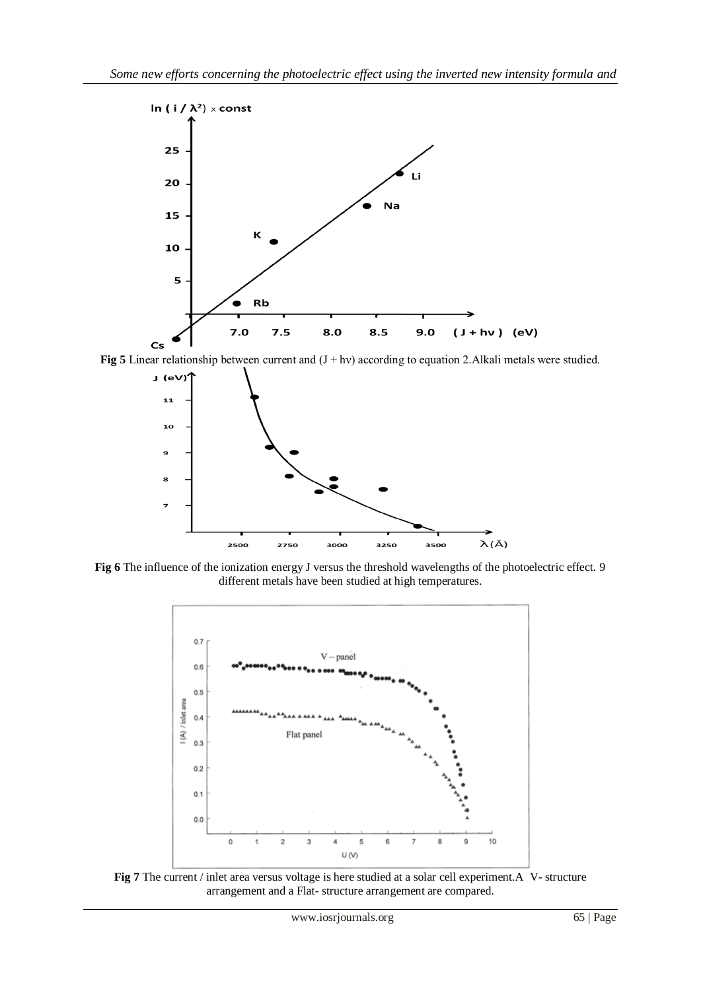

**Fig 5** Linear relationship between current and  $(J + hv)$  according to equation 2. Alkali metals were studied.



**Fig 6** The influence of the ionization energy J versus the threshold wavelengths of the photoelectric effect. 9 different metals have been studied at high temperatures.



**Fig 7** The current / inlet area versus voltage is here studied at a solar cell experiment.A V- structure arrangement and a Flat- structure arrangement are compared.